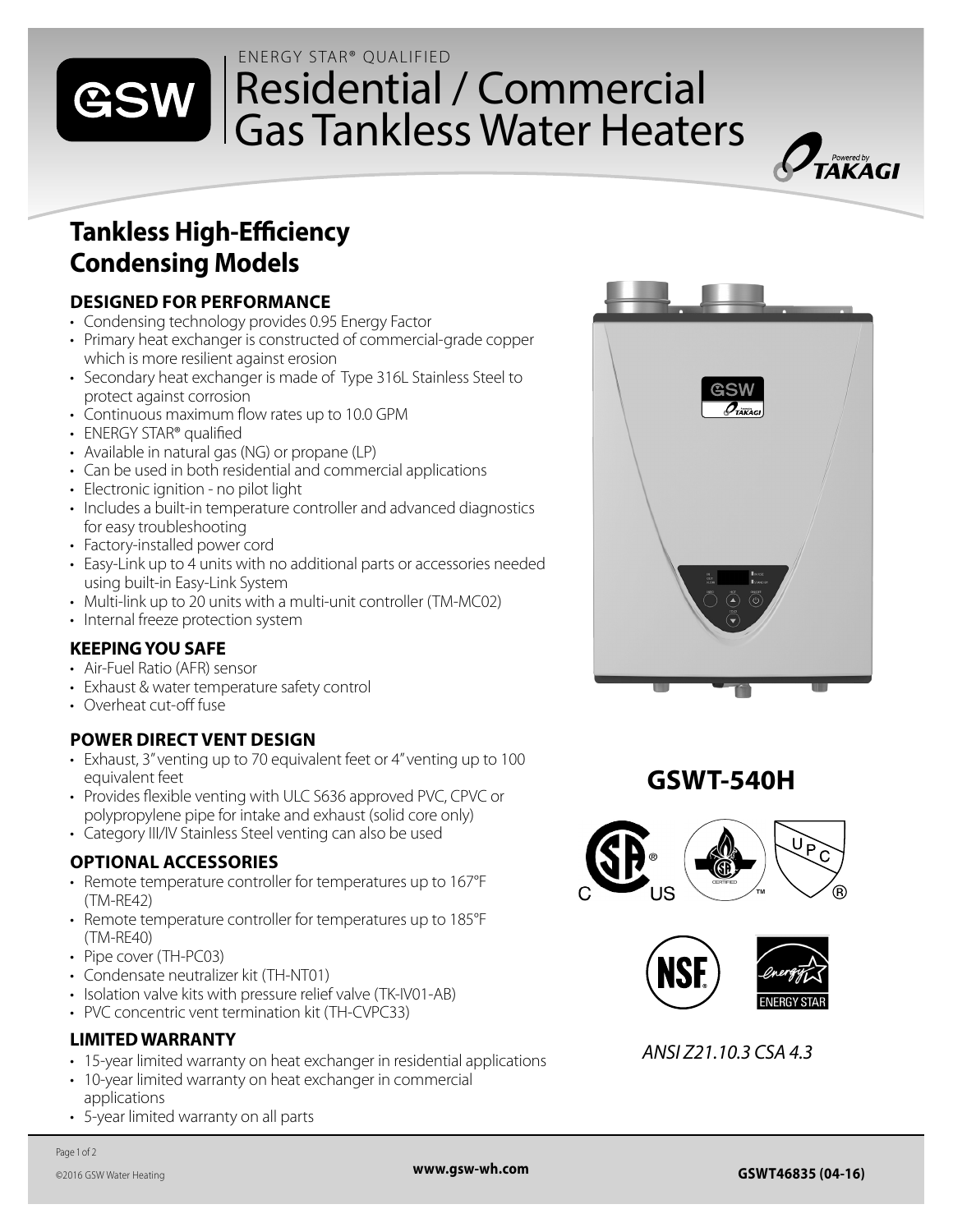#### ENERGY STAR® QUALIFIED

# Residential / Commercial Gas Tankless Water Heaters



### **DESIGNED FOR PERFORMANCE**

- Condensing technology provides 0.95 Energy Factor
- Primary heat exchanger is constructed of commercial-grade copper which is more resilient against erosion
- Secondary heat exchanger is made of Type 316L Stainless Steel to protect against corrosion
- Continuous maximum flow rates up to 10.0 GPM
- ENERGY STAR® qualified

GSW

- Available in natural gas (NG) or propane (LP)
- Can be used in both residential and commercial applications
- Electronic ignition no pilot light
- Includes a built-in temperature controller and advanced diagnostics for easy troubleshooting
- Factory-installed power cord
- Easy-Link up to 4 units with no additional parts or accessories needed using built-in Easy-Link System
- Multi-link up to 20 units with a multi-unit controller (TM-MC02)
- Internal freeze protection system

### **KEEPING YOU SAFE**

- Air-Fuel Ratio (AFR) sensor
- Exhaust & water temperature safety control
- Overheat cut-off fuse

### **POWER DIRECT VENT DESIGN**

- Exhaust, 3" venting up to 70 equivalent feet or 4" venting up to 100 equivalent feet
- Provides flexible venting with ULC S636 approved PVC, CPVC or polypropylene pipe for intake and exhaust (solid core only)
- Category III/IV Stainless Steel venting can also be used

### **OPTIONAL ACCESSORIES**

- Remote temperature controller for temperatures up to 167°F (TM-RE42)
- Remote temperature controller for temperatures up to 185°F (TM-RE40)
- Pipe cover (TH-PC03)
- Condensate neutralizer kit (TH-NT01)
- Isolation valve kits with pressure relief valve (TK-IV01-AB)
- PVC concentric vent termination kit (TH-CVPC33)

### **LIMITED WARRANTY**

- 15-year limited warranty on heat exchanger in residential applications
- 10-year limited warranty on heat exchanger in commercial applications
- 5-year limited warranty on all parts



 $\overline{\mathbf{L}}$  Powered by<br> $\overline{\mathbf{L}}$   $\mathbf{A}$   $\mathbf{K}$   $\mathbf{A}$   $\mathbf{G}$   $\mathbf{L}$ 





*ANSI Z21.10.3 CSA 4.3*

Page 1 of 2